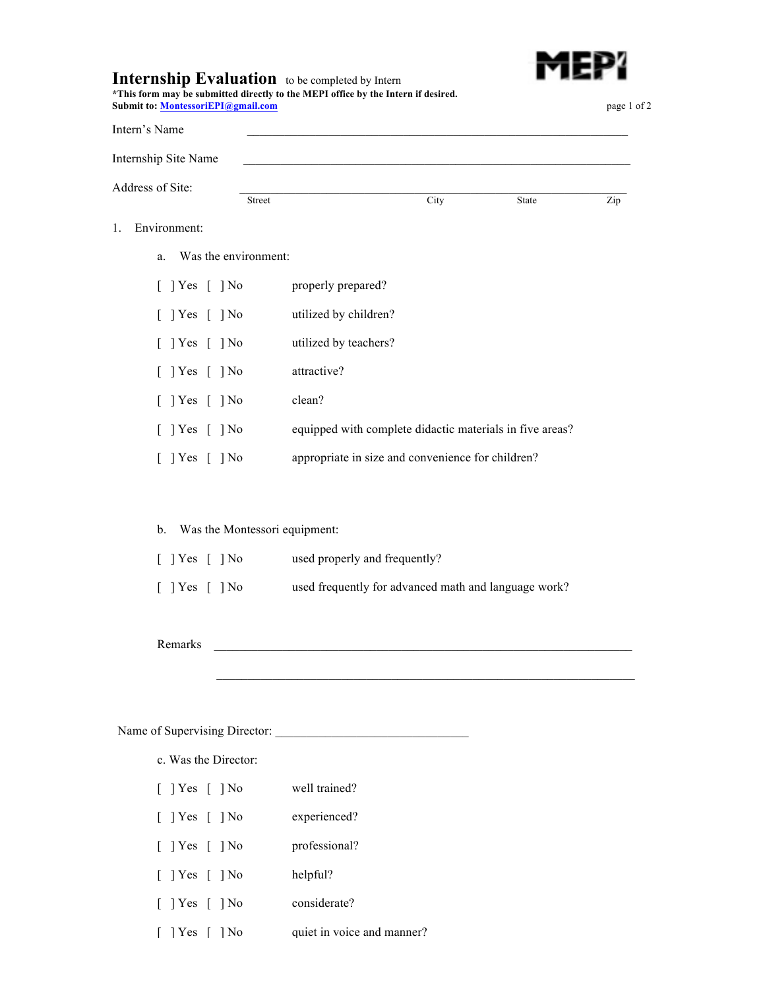

## **Internship Evaluation** to be completed by Intern

| *This form may be submitted directly to the MEPI office by the Intern if desired. |             |
|-----------------------------------------------------------------------------------|-------------|
| <b>Submit to: MontessoriEPI@gmail.com</b>                                         | page 1 of 2 |

| Intern's Name                |                               |                                                          |       |     |
|------------------------------|-------------------------------|----------------------------------------------------------|-------|-----|
| Internship Site Name         |                               |                                                          |       |     |
| Address of Site:             | Street                        | City                                                     | State | Zip |
| Environment:<br>1.           |                               |                                                          |       |     |
| Was the environment:<br>a.   |                               |                                                          |       |     |
| $[$ ] Yes $[$ ] No           | properly prepared?            |                                                          |       |     |
| $\lceil$   Yes $\lceil$   No | utilized by children?         |                                                          |       |     |
| $\lceil$   Yes $\lceil$   No | utilized by teachers?         |                                                          |       |     |
| $\lceil$   Yes $\lceil$   No | attractive?                   |                                                          |       |     |
| $\lceil$   Yes $\lceil$   No | clean?                        |                                                          |       |     |
| $[$ ] Yes $[$ ] No           |                               | equipped with complete didactic materials in five areas? |       |     |
| $[$ ] Yes $[$ ] No           |                               | appropriate in size and convenience for children?        |       |     |
|                              |                               |                                                          |       |     |
| b.                           | Was the Montessori equipment: |                                                          |       |     |
| $\lceil$   Yes $\lceil$   No |                               | used properly and frequently?                            |       |     |

[ ] Yes [ ] No used frequently for advanced math and language work?

 $\mathcal{L}_\text{max}$ 

## Remarks

 $1.$ 

## Name of Supervising Director: \_\_\_\_\_\_\_\_\_\_\_\_\_\_\_\_\_\_\_\_\_\_\_\_\_\_\_\_\_\_\_

- c. Was the Director:
- [ ] Yes [ ] No well trained?
- [ ] Yes [ ] No experienced?
- [ ] Yes [ ] No professional?
- [ ] Yes [ ] No helpful?
- [ ] Yes [ ] No considerate?
- [ ] Yes [ ] No quiet in voice and manner?